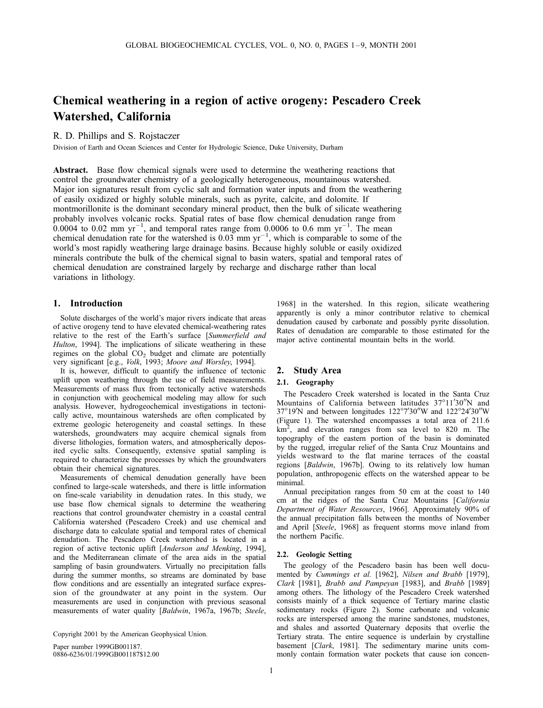# Chemical weathering in a region of active orogeny: Pescadero Creek Watershed, California

R. D. Phillips and S. Rojstaczer

Division of Earth and Ocean Sciences and Center for Hydrologic Science, Duke University, Durham

Abstract. Base flow chemical signals were used to determine the weathering reactions that control the groundwater chemistry of a geologically heterogeneous, mountainous watershed. Major ion signatures result from cyclic salt and formation water inputs and from the weathering of easily oxidized or highly soluble minerals, such as pyrite, calcite, and dolomite. If montmorillonite is the dominant secondary mineral product, then the bulk of silicate weathering probably involves volcanic rocks. Spatial rates of base flow chemical denudation range from  $0.0004$  to 0.02 mm yr<sup>-1</sup>, and temporal rates range from 0.0006 to 0.6 mm yr<sup>-1</sup>. The mean chemical denudation rate for the watershed is  $0.03 \text{ mm yr}^{-1}$ , which is comparable to some of the world's most rapidly weathering large drainage basins. Because highly soluble or easily oxidized minerals contribute the bulk of the chemical signal to basin waters, spatial and temporal rates of chemical denudation are constrained largely by recharge and discharge rather than local variations in lithology.

## 1. Introduction

Solute discharges of the world's major rivers indicate that areas of active orogeny tend to have elevated chemical-weathering rates relative to the rest of the Earth's surface [Summerfield and Hulton, 1994]. The implications of silicate weathering in these regimes on the global  $CO<sub>2</sub>$  budget and climate are potentially very significant [e.g., Volk, 1993; Moore and Worsley, 1994].

It is, however, difficult to quantify the influence of tectonic uplift upon weathering through the use of field measurements. Measurements of mass flux from tectonically active watersheds in conjunction with geochemical modeling may allow for such analysis. However, hydrogeochemical investigations in tectonically active, mountainous watersheds are often complicated by extreme geologic heterogeneity and coastal settings. In these watersheds, groundwaters may acquire chemical signals from diverse lithologies, formation waters, and atmospherically deposited cyclic salts. Consequently, extensive spatial sampling is required to characterize the processes by which the groundwaters obtain their chemical signatures.

Measurements of chemical denudation generally have been confined to large-scale watersheds, and there is little information on fine-scale variability in denudation rates. In this study, we use base flow chemical signals to determine the weathering reactions that control groundwater chemistry in a coastal central California watershed (Pescadero Creek) and use chemical and discharge data to calculate spatial and temporal rates of chemical denudation. The Pescadero Creek watershed is located in a region of active tectonic uplift [Anderson and Menking, 1994], and the Mediterranean climate of the area aids in the spatial sampling of basin groundwaters. Virtually no precipitation falls during the summer months, so streams are dominated by base flow conditions and are essentially an integrated surface expression of the groundwater at any point in the system. Our measurements are used in conjunction with previous seasonal measurements of water quality [Baldwin, 1967a, 1967b; Steele,

Paper number 1999GB001187. 0886-6236/01/1999GB001187\$12.00

1968] in the watershed. In this region, silicate weathering apparently is only a minor contributor relative to chemical denudation caused by carbonate and possibly pyrite dissolution. Rates of denudation are comparable to those estimated for the major active continental mountain belts in the world.

## 2. Study Area

# 2.1. Geography

The Pescadero Creek watershed is located in the Santa Cruz Mountains of California between latitudes 37°11'30"N and 37°19′N and between longitudes  $122^{\circ}7'30''$ W and  $122^{\circ}24'30''$ W (Figure 1). The watershed encompasses a total area of 211.6  $km<sup>2</sup>$ , and elevation ranges from sea level to 820 m. The topography of the eastern portion of the basin is dominated by the rugged, irregular relief of the Santa Cruz Mountains and yields westward to the flat marine terraces of the coastal regions [Baldwin, 1967b]. Owing to its relatively low human population, anthropogenic effects on the watershed appear to be minimal.

Annual precipitation ranges from 50 cm at the coast to 140 cm at the ridges of the Santa Cruz Mountains [California Department of Water Resources, 1966]. Approximately 90% of the annual precipitation falls between the months of November and April [Steele, 1968] as frequent storms move inland from the northern Pacific.

### 2.2. Geologic Setting

The geology of the Pescadero basin has been well documented by Cummings et al. [1962], Nilsen and Brabb [1979], Clark [1981], Brabb and Pampeyan [1983], and Brabb [1989] among others. The lithology of the Pescadero Creek watershed consists mainly of a thick sequence of Tertiary marine clastic sedimentary rocks (Figure 2). Some carbonate and volcanic rocks are interspersed among the marine sandstones, mudstones, and shales and assorted Quaternary deposits that overlie the Tertiary strata. The entire sequence is underlain by crystalline basement [Clark, 1981]. The sedimentary marine units commonly contain formation water pockets that cause ion concen-

Copyright 2001 by the American Geophysical Union.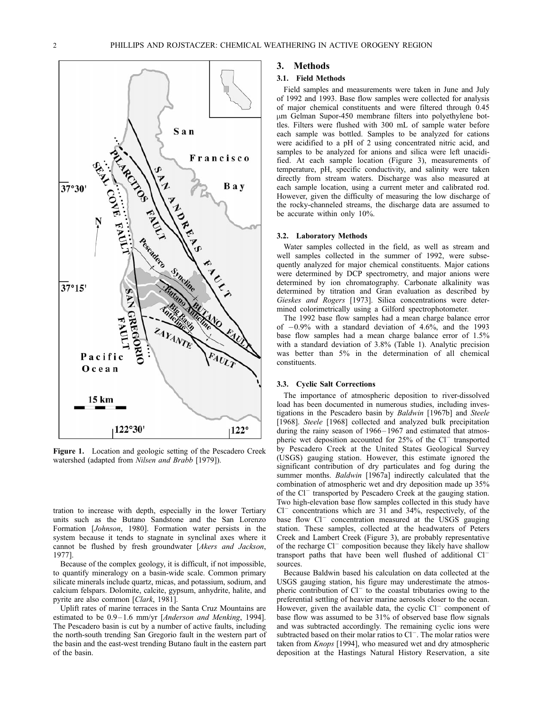

Figure 1. Location and geologic setting of the Pescadero Creek watershed (adapted from Nilsen and Brabb [1979]).

tration to increase with depth, especially in the lower Tertiary units such as the Butano Sandstone and the San Lorenzo Formation [Johnson, 1980]. Formation water persists in the system because it tends to stagnate in synclinal axes where it cannot be flushed by fresh groundwater [Akers and Jackson, 1977].

Because of the complex geology, it is difficult, if not impossible, to quantify mineralogy on a basin-wide scale. Common primary silicate minerals include quartz, micas, and potassium, sodium, and calcium felspars. Dolomite, calcite, gypsum, anhydrite, halite, and pyrite are also common [Clark, 1981].

Uplift rates of marine terraces in the Santa Cruz Mountains are estimated to be 0.9-1.6 mm/yr [Anderson and Menking, 1994]. The Pescadero basin is cut by a number of active faults, including the north-south trending San Gregorio fault in the western part of the basin and the east-west trending Butano fault in the eastern part of the basin.

# 3. Methods

### 3.1. Field Methods

Field samples and measurements were taken in June and July of 1992 and 1993. Base flow samples were collected for analysis of major chemical constituents and were filtered through 0.45 mm Gelman Supor-450 membrane filters into polyethylene bottles. Filters were flushed with 300 mL of sample water before each sample was bottled. Samples to be analyzed for cations were acidified to a pH of 2 using concentrated nitric acid, and samples to be analyzed for anions and silica were left unacidified. At each sample location (Figure 3), measurements of temperature, pH, specific conductivity, and salinity were taken directly from stream waters. Discharge was also measured at each sample location, using a current meter and calibrated rod. However, given the difficulty of measuring the low discharge of the rocky-channeled streams, the discharge data are assumed to be accurate within only 10%.

#### 3.2. Laboratory Methods

Water samples collected in the field, as well as stream and well samples collected in the summer of 1992, were subsequently analyzed for major chemical constituents. Major cations were determined by DCP spectrometry, and major anions were determined by ion chromatography. Carbonate alkalinity was determined by titration and Gran evaluation as described by Gieskes and Rogers [1973]. Silica concentrations were determined colorimetrically using a Gilford spectrophotometer.

The 1992 base flow samples had a mean charge balance error of  $-0.9\%$  with a standard deviation of 4.6%, and the 1993 base flow samples had a mean charge balance error of 1.5% with a standard deviation of 3.8% (Table 1). Analytic precision was better than 5% in the determination of all chemical constituents.

### 3.3. Cyclic Salt Corrections

The importance of atmospheric deposition to river-dissolved load has been documented in numerous studies, including investigations in the Pescadero basin by Baldwin [1967b] and Steele [1968]. Steele [1968] collected and analyzed bulk precipitation during the rainy season of  $1966 - 1967$  and estimated that atmospheric wet deposition accounted for  $25%$  of the Cl<sup>-</sup> transported by Pescadero Creek at the United States Geological Survey (USGS) gauging station. However, this estimate ignored the significant contribution of dry particulates and fog during the summer months. Baldwin [1967a] indirectly calculated that the combination of atmospheric wet and dry deposition made up 35% of the Cl<sup>-</sup> transported by Pescadero Creek at the gauging station. Two high-elevation base flow samples collected in this study have  $Cl^-$  concentrations which are 31 and 34%, respectively, of the base flow Cl<sup>-</sup> concentration measured at the USGS gauging station. These samples, collected at the headwaters of Peters Creek and Lambert Creek (Figure 3), are probably representative of the recharge  $Cl^-$  composition because they likely have shallow transport paths that have been well flushed of additional Cl<sup>-</sup> sources.

Because Baldwin based his calculation on data collected at the USGS gauging station, his figure may underestimate the atmospheric contribution of  $Cl^-$  to the coastal tributaries owing to the preferential settling of heavier marine aerosols closer to the ocean. However, given the available data, the cyclic  $Cl^-$  component of base flow was assumed to be 31% of observed base flow signals and was subtracted accordingly. The remaining cyclic ions were subtracted based on their molar ratios to  $Cl^-$ . The molar ratios were taken from Knops [1994], who measured wet and dry atmospheric deposition at the Hastings Natural History Reservation, a site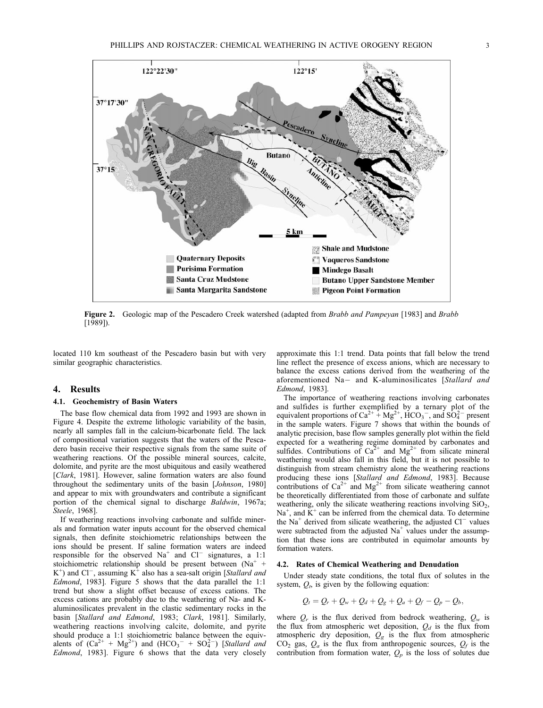

Figure 2. Geologic map of the Pescadero Creek watershed (adapted from Brabb and Pampeyan [1983] and Brabb [1989]).

located 110 km southeast of the Pescadero basin but with very similar geographic characteristics.

# 4. Results

### 4.1. Geochemistry of Basin Waters

The base flow chemical data from 1992 and 1993 are shown in Figure 4. Despite the extreme lithologic variability of the basin, nearly all samples fall in the calcium-bicarbonate field. The lack of compositional variation suggests that the waters of the Pescadero basin receive their respective signals from the same suite of weathering reactions. Of the possible mineral sources, calcite, dolomite, and pyrite are the most ubiquitous and easily weathered [Clark, 1981]. However, saline formation waters are also found throughout the sedimentary units of the basin [Johnson, 1980] and appear to mix with groundwaters and contribute a significant portion of the chemical signal to discharge Baldwin, 1967a; Steele, 1968].

If weathering reactions involving carbonate and sulfide minerals and formation water inputs account for the observed chemical signals, then definite stoichiometric relationships between the ions should be present. If saline formation waters are indeed responsible for the observed  $Na^+$  and  $Cl^-$  signatures, a 1:1 stoichiometric relationship should be present between  $(Na^+ +$  $K^+$ ) and Cl<sup>-</sup>, assuming  $K^+$  also has a sea-salt origin [Stallard and Edmond, 1983]. Figure 5 shows that the data parallel the 1:1 trend but show a slight offset because of excess cations. The excess cations are probably due to the weathering of Na- and Kaluminosilicates prevalent in the clastic sedimentary rocks in the basin [Stallard and Edmond, 1983; Clark, 1981]. Similarly, weathering reactions involving calcite, dolomite, and pyrite should produce a 1:1 stoichiometric balance between the equivalents of  $(Ca^{2+} + Mg^{2+})$  and  $(HCO_3^- + SO_4^{2-})$  [Stallard and Edmond, 1983]. Figure 6 shows that the data very closely

approximate this 1:1 trend. Data points that fall below the trend line reflect the presence of excess anions, which are necessary to balance the excess cations derived from the weathering of the aforementioned Na- and K-aluminosilicates [Stallard and Edmond, 1983].

The importance of weathering reactions involving carbonates and sulfides is further exemplified by a ternary plot of the equivalent proportions of  $Ca^{2+} + Mg^{2+}$ ,  $HCO_3^-$ , and  $SO_4^{2-}$  present in the sample waters. Figure 7 shows that within the bounds of analytic precision, base flow samples generally plot within the field expected for a weathering regime dominated by carbonates and sulfides. Contributions of  $Ca^{2+}$  and  $Mg^{2+}$  from silicate mineral weathering would also fall in this field, but it is not possible to distinguish from stream chemistry alone the weathering reactions producing these ions [*Stallard and Edmond*, 1983]. Because contributions of  $Ca^{2+}$  and  $Mg^{2+}$  from silicate weathering cannot be theoretically differentiated from those of carbonate and sulfate weathering, only the silicate weathering reactions involving  $SiO<sub>2</sub>$ , Na<sup>+</sup>, and  $K^+$  can be inferred from the chemical data. To determine the Na<sup>+</sup> derived from silicate weathering, the adjusted  $Cl^-$  values were subtracted from the adjusted  $Na<sup>+</sup>$  values under the assumption that these ions are contributed in equimolar amounts by formation waters.

#### 4.2. Rates of Chemical Weathering and Denudation

Under steady state conditions, the total flux of solutes in the system,  $Q_t$ , is given by the following equation:

$$
Q_t = Q_r + Q_w + Q_d + Q_g + Q_a + Q_f - Q_p - Q_b,
$$

where  $Q_r$  is the flux derived from bedrock weathering,  $Q_w$  is the flux from atmospheric wet deposition,  $Q_d$  is the flux from atmospheric dry deposition,  $Q_g$  is the flux from atmospheric  $CO<sub>2</sub>$  gas,  $Q<sub>a</sub>$  is the flux from anthropogenic sources,  $Q<sub>f</sub>$  is the contribution from formation water,  $Q_p$  is the loss of solutes due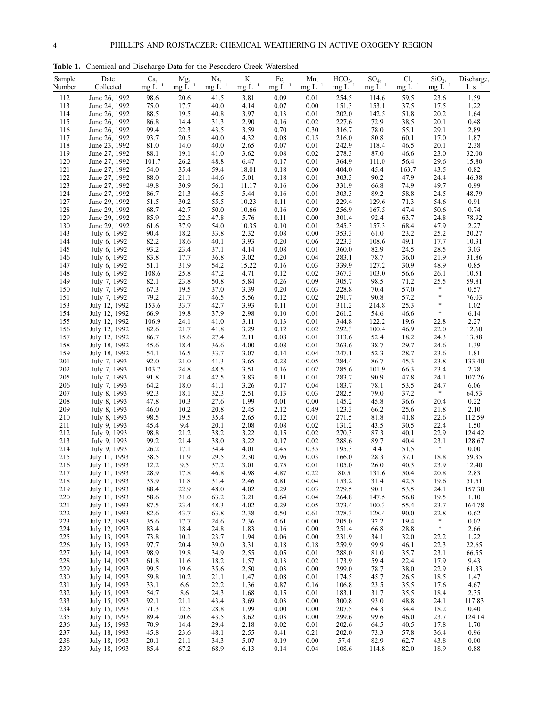Table 1. Chemical and Discharge Data for the Pescadero Creek Watershed

| Sample<br>Number | Date<br>Collected              | Ca,<br>$mgL^{-1}$ | Mg,<br>$mg L^{-1}$ | Na,<br>$mg L^{-1}$ | Κ,<br>$mg L^{-1}$ | Fe,<br>$mgL^{-1}$ | Mn,<br>$mg L^{-1}$ | $HCO3$ ,<br>$mg L^{-1}$ | $SO_4$ ,<br>$mg L^{-1}$ | Cl,<br>$mg L^{-1}$ | SiO <sub>2</sub><br>$mg L^{-1}$ | Discharge,<br>$L s^{-1}$ |
|------------------|--------------------------------|-------------------|--------------------|--------------------|-------------------|-------------------|--------------------|-------------------------|-------------------------|--------------------|---------------------------------|--------------------------|
| 112              | June 26, 1992                  | 98.6              | 20.6               | 41.5               | 3.81              | 0.09              | 0.01               | 254.5                   | 114.6                   | 59.5               | 23.6                            | 1.59                     |
| 113              | June 24, 1992                  | 75.0              | 17.7               | 40.0               | 4.14              | 0.07              | 0.00               | 151.3                   | 153.1                   | 37.5               | 17.5                            | 1.22                     |
| 114              | June 26, 1992                  | 88.5              | 19.5               | 40.8               | 3.97              | 0.13              | 0.01               | 202.0                   | 142.5                   | 51.8               | 20.2                            | 1.64                     |
| 115              | June 26, 1992                  | 86.8              | 14.4               | 31.3               | 2.90              | 0.16              | 0.02               | 227.6                   | 72.9                    | 38.5               | 20.1                            | 0.48                     |
| 116              | June 26, 1992                  | 99.4              | 22.3               | 43.5               | 3.59              | 0.70              | 0.30               | 316.7                   | 78.0                    | 55.1               | 29.1                            | 2.89                     |
| 117              | June 26, 1992                  | 93.7              | 20.5               | 40.0               | 4.32              | 0.08              | 0.15               | 216.0                   | 80.8                    | 60.1               | 17.0                            | 1.87                     |
| 118<br>119       | June 23, 1992<br>June 27, 1992 | 81.0<br>88.1      | 14.0<br>19.1       | 40.0<br>41.0       | 2.65<br>3.62      | 0.07<br>0.08      | 0.01<br>0.02       | 242.9<br>278.3          | 118.4<br>87.0           | 46.5<br>46.6       | 20.1<br>23.0                    | 2.38<br>32.00            |
| 120              | June 27, 1992                  | 101.7             | 26.2               | 48.8               | 6.47              | 0.17              | 0.01               | 364.9                   | 111.0                   | 56.4               | 29.6                            | 15.80                    |
| 121              | June 27, 1992                  | 54.0              | 35.4               | 59.4               | 18.01             | 0.18              | 0.00               | 404.0                   | 45.4                    | 163.7              | 43.5                            | 0.82                     |
| 122              | June 27, 1992                  | 88.0              | 21.1               | 44.6               | 5.01              | 0.18              | 0.01               | 303.3                   | 90.2                    | 47.9               | 24.4                            | 46.38                    |
| 123              | June 27, 1992                  | 49.8              | 30.9               | 56.1               | 11.17             | 0.16              | 0.06               | 331.9                   | 66.8                    | 74.9               | 49.7                            | 0.99                     |
| 124              | June 27, 1992                  | 86.7              | 21.3               | 46.5               | 5.44              | 0.16              | 0.01               | 303.3                   | 89.2                    | 58.8               | 24.5                            | 48.79                    |
| 127              | June 29, 1992                  | 51.5              | 30.2               | 55.5               | 10.23             | 0.11              | 0.01               | 229.4                   | 129.6                   | 71.3               | 54.6                            | 0.91                     |
| 128<br>129       | June 29, 1992<br>June 29, 1992 | 68.7<br>85.9      | 42.7<br>22.5       | 50.0<br>47.8       | 10.66<br>5.76     | 0.16<br>0.11      | 0.09<br>0.00       | 256.9<br>301.4          | 167.5<br>92.4           | 47.4<br>63.7       | 50.6<br>24.8                    | 0.74<br>78.92            |
| 130              | June 29, 1992                  | 61.6              | 37.9               | 54.0               | 10.35             | 0.10              | 0.01               | 245.3                   | 157.3                   | 68.4               | 47.9                            | 2.27                     |
| 143              | July 6, 1992                   | 90.4              | 18.2               | 33.8               | 2.32              | 0.08              | 0.00               | 353.3                   | 61.0                    | 23.2               | 25.2                            | 20.27                    |
| 144              | July 6, 1992                   | 82.2              | 18.6               | 40.1               | 3.93              | 0.20              | 0.06               | 223.3                   | 108.6                   | 49.1               | 17.7                            | 10.31                    |
| 145              | July 6, 1992                   | 93.2              | 23.4               | 37.1               | 4.14              | 0.08              | 0.01               | 360.0                   | 82.9                    | 24.5               | 28.5                            | 3.03                     |
| 146              | July 6, 1992                   | 83.8              | 17.7               | 36.8               | 3.02              | 0.20              | 0.04               | 283.1                   | 78.7                    | 36.0               | 21.9                            | 31.86                    |
| 147              | July 6, 1992                   | 51.1              | 31.9               | 54.2               | 15.22             | 0.16              | 0.03               | 339.9                   | 127.2                   | 30.9               | 48.9                            | 0.85                     |
| 148              | July 6, 1992                   | 108.6             | 25.8               | 47.2               | 4.71              | 0.12              | 0.02               | 367.3                   | 103.0                   | 56.6               | 26.1                            | 10.51                    |
| 149<br>150       | July 7, 1992<br>July 7, 1992   | 82.1<br>67.3      | 23.8               | 50.8<br>37.0       | 5.84<br>3.39      | 0.26<br>0.20      | 0.09<br>0.03       | 305.7<br>228.8          | 98.5<br>70.4            | 71.2               | 25.5<br>*                       | 59.81<br>0.57            |
| 151              | July 7, 1992                   | 79.2              | 19.5<br>21.7       | 46.5               | 5.56              | 0.12              | 0.02               | 291.7                   | 90.8                    | 57.0<br>57.2       | *                               | 76.03                    |
| 153              | July 12, 1992                  | 153.6             | 33.7               | 42.7               | 3.93              | 0.11              | 0.01               | 311.2                   | 214.8                   | 25.3               | *                               | 1.02                     |
| 154              | July 12, 1992                  | 66.9              | 19.8               | 37.9               | 2.98              | 0.10              | 0.01               | 261.2                   | 54.6                    | 46.6               | $\ast$                          | 6.14                     |
| 155              | July 12, 1992                  | 106.9             | 24.1               | 41.0               | 3.11              | 0.13              | 0.01               | 344.8                   | 122.2                   | 19.6               | 22.8                            | 2.27                     |
| 156              | July 12, 1992                  | 82.6              | 21.7               | 41.8               | 3.29              | 0.12              | 0.02               | 292.3                   | 100.4                   | 46.9               | 22.0                            | 12.60                    |
| 157              | July 12, 1992                  | 86.7              | 15.6               | 27.4               | 2.11              | 0.08              | 0.01               | 313.6                   | 52.4                    | 18.2               | 24.3                            | 13.88                    |
| 158              | July 18, 1992                  | 45.6<br>54.1      | 18.4               | 36.6               | 4.00              | 0.08              | 0.01               | 263.6                   | 38.7                    | 29.7               | 24.6                            | 1.39                     |
| 159<br>201       | July 18, 1992<br>July 7, 1993  | 92.0              | 16.5<br>21.0       | 33.7<br>41.3       | 3.07<br>3.65      | 0.14<br>0.28      | 0.04<br>0.05       | 247.1<br>284.4          | 52.3<br>86.7            | 28.7<br>45.3       | 23.6<br>23.8                    | 1.81<br>133.40           |
| 202              | July 7, 1993                   | 103.7             | 24.8               | 48.5               | 3.51              | 0.16              | 0.02               | 285.6                   | 101.9                   | 66.3               | 23.4                            | 2.78                     |
| 205              | July 7, 1993                   | 91.8              | 21.4               | 42.5               | 3.83              | 0.11              | 0.01               | 283.7                   | 90.9                    | 47.8               | 24.1                            | 107.26                   |
| 206              | July 7, 1993                   | 64.2              | 18.0               | 41.1               | 3.26              | 0.17              | 0.04               | 183.7                   | 78.1                    | 53.5               | 24.7                            | 6.06                     |
| 207              | July 8, 1993                   | 92.3              | 18.1               | 32.3               | 2.51              | 0.13              | 0.03               | 282.5                   | 79.0                    | 37.2               | *                               | 64.53                    |
| 208              | July 8, 1993                   | 47.8              | 10.3               | 27.6               | 1.99              | 0.01              | 0.00               | 145.2                   | 45.8                    | 36.6               | 20.4                            | 0.22                     |
| 209              | July 8, 1993                   | 46.0              | 10.2               | 20.8               | 2.45              | 2.12              | 0.49               | 123.3                   | 66.2                    | 25.6               | 21.8                            | 2.10                     |
| 210<br>211       | July 8, 1993<br>July 9, 1993   | 98.5<br>45.4      | 19.5<br>9.4        | 35.4<br>20.1       | 2.65<br>2.08      | 0.12<br>0.08      | 0.01<br>0.02       | 271.5<br>131.2          | 81.8<br>43.5            | 41.8<br>30.5       | 22.6<br>22.4                    | 112.59<br>1.50           |
| 212              | July 9, 1993                   | 98.8              | 21.2               | 38.2               | 3.22              | 0.15              | 0.02               | 270.3                   | 87.3                    | 40.1               | 22.9                            | 124.42                   |
| 213              | July 9, 1993                   | 99.2              | 21.4               | 38.0               | 3.22              | 0.17              | 0.02               | 288.6                   | 89.7                    | 40.4               | 23.1                            | 128.67                   |
| 214              | July 9, 1993                   | 26.2              | 17.1               | 34.4               | 4.01              | 0.45              | 0.35               | 195.3                   | 4.4                     | 51.5               | *                               | 0.00                     |
| 215              | July 11, 1993                  | 38.5              | 11.9               | 29.5               | 2.30              | 0.96              | 0.03               | 166.0                   | 28.3                    | 37.1               | 18.8                            | 59.35                    |
| 216              | July 11, 1993                  | 12.2              | 9.5                | 37.2               | 3.01              | 0.75              | 0.01               | 105.0                   | 26.0                    | 40.3               | 23.9                            | 12.40                    |
| 217              | July 11, 1993                  | 28.9              | 17.8               | 46.8               | 4.98              | 4.87              | 0.22               | 80.5                    | 131.6                   | 50.4               | 20.8                            | 2.83                     |
| 218<br>219       | July 11, 1993<br>July 11, 1993 | 33.9<br>88.4      | 11.8<br>22.9       | 31.4<br>48.0       | 2.46<br>4.02      | 0.81<br>0.29      | 0.04<br>0.03       | 153.2<br>279.5          | 31.4<br>90.1            | 42.5<br>53.5       | 19.6<br>24.1                    | 51.51<br>157.30          |
| 220              | July 11, 1993                  | 58.6              | 31.0               | 63.2               | 3.21              | 0.64              | 0.04               | 264.8                   | 147.5                   | 56.8               | 19.5                            | 1.10                     |
| 221              | July 11, 1993                  | 87.5              | 23.4               | 48.3               | 4.02              | 0.29              | 0.05               | 273.4                   | 100.3                   | 55.4               | 23.7                            | 164.78                   |
| 222              | July 11, 1993                  | 82.6              | 43.7               | 63.8               | 2.38              | 0.50              | 0.61               | 278.3                   | 128.4                   | 90.0               | 22.8                            | 0.62                     |
| 223              | July 12, 1993                  | 35.6              | 17.7               | 24.6               | 2.36              | 0.61              | 0.00               | 205.0                   | 32.2                    | 19.4               | *                               | 0.02                     |
| 224              | July 12, 1993                  | 83.4              | 18.4               | 24.8               | 1.83              | 0.16              | 0.00               | 251.4                   | 66.8                    | 28.8               | *                               | 2.66                     |
| 225              | July 13, 1993                  | 73.8              | 10.1               | 23.7               | 1.94              | 0.06              | 0.00               | 231.9                   | 34.1                    | 32.0               | 22.2                            | 1.22                     |
| 226<br>227       | July 13, 1993<br>July 14, 1993 | 97.7<br>98.9      | 20.4<br>19.8       | 39.0<br>34.9       | 3.31<br>2.55      | 0.18<br>0.05      | 0.18<br>0.01       | 259.9<br>288.0          | 99.9<br>81.0            | 46.1<br>35.7       | 22.3<br>23.1                    | 22.65<br>66.55           |
| 228              | July 14, 1993                  | 61.8              | 11.6               | 18.2               | 1.57              | 0.13              | 0.02               | 173.9                   | 59.4                    | 22.4               | 17.9                            | 9.43                     |
| 229              | July 14, 1993                  | 99.5              | 19.6               | 35.6               | 2.50              | 0.03              | 0.00               | 299.0                   | 78.7                    | 38.0               | 22.9                            | 61.33                    |
| 230              | July 14, 1993                  | 59.8              | 10.2               | 21.1               | 1.47              | 0.08              | 0.01               | 174.5                   | 45.7                    | 26.5               | 18.5                            | 1.47                     |
| 231              | July 14, 1993                  | 33.1              | 6.6                | 22.2               | 1.36              | 0.87              | 0.16               | 106.8                   | 23.5                    | 35.5               | 17.6                            | 4.67                     |
| 232              | July 15, 1993                  | 54.7              | 8.6                | 24.3               | 1.68              | 0.15              | 0.01               | 183.1                   | 31.7                    | 35.5               | 18.4                            | 2.35                     |
| 233              | July 15, 1993                  | 92.1              | 21.1               | 43.4               | 3.69              | 0.03              | 0.00               | 300.8                   | 93.0                    | 48.8               | 24.1                            | 117.83                   |
| 234              | July 15, 1993                  | 71.3              | 12.5               | 28.8               | 1.99              | 0.00              | 0.00               | 207.5                   | 64.3                    | 34.4               | 18.2                            | 0.40                     |
| 235<br>236       | July 15, 1993<br>July 15, 1993 | 89.4<br>70.9      | 20.6<br>14.4       | 43.5<br>29.4       | 3.62<br>2.18      | 0.03<br>0.02      | 0.00<br>0.01       | 299.6<br>202.6          | 99.6<br>64.5            | 46.0<br>40.5       | 23.7<br>17.8                    | 124.14<br>1.70           |
| 237              | July 18, 1993                  | 45.8              | 23.6               | 48.1               | 2.55              | 0.41              | 0.21               | 202.0                   | 73.3                    | 57.8               | 36.4                            | 0.96                     |
| 238              | July 18, 1993                  | 20.1              | 21.1               | 34.3               | 5.07              | 0.19              | 0.00               | 57.4                    | 82.9                    | 62.7               | 43.8                            | 0.00                     |
| 239              | July 18, 1993                  | 85.4              | 67.2               | 68.9               | 6.13              | 0.14              | 0.04               | 108.6                   | 114.8                   | 82.0               | 18.9                            | 0.88                     |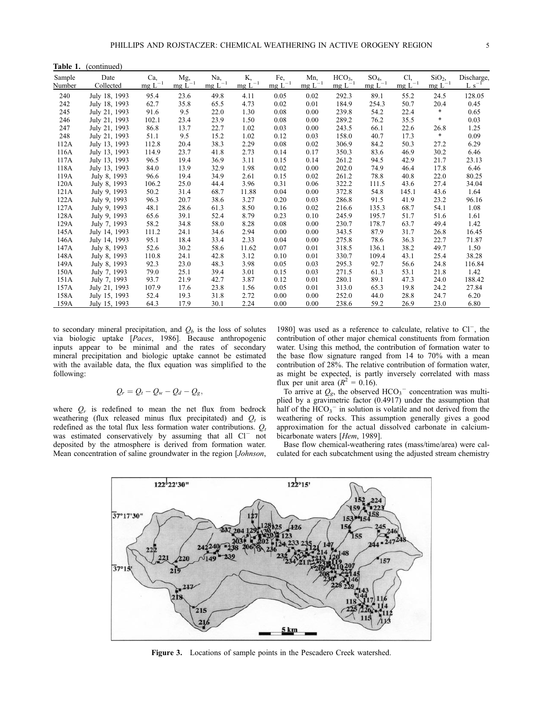Table 1. (continued)

| Sample | Date          | Ca,         | Mg,         | Na,         | Κ.          | Fe,         | Mn,         | HCO <sub>3</sub> | $SO_4$      | Cl <sub>2</sub> | $SiO2$ ,    | Discharge, |
|--------|---------------|-------------|-------------|-------------|-------------|-------------|-------------|------------------|-------------|-----------------|-------------|------------|
| Number | Collected     | $mg L^{-1}$ | $mg L^{-1}$ | $mg L^{-1}$ | $mg L^{-1}$ | $mg L^{-1}$ | $mg L^{-1}$ | $mg L^{-1}$      | $mg L^{-1}$ | $mg L^{-1}$     | $mg L^{-1}$ | $L s^{-1}$ |
| 240    | July 18, 1993 | 95.4        | 23.6        | 49.8        | 4.11        | 0.05        | 0.02        | 292.3            | 89.1        | 55.2            | 24.5        | 128.05     |
| 242    | July 18, 1993 | 62.7        | 35.8        | 65.5        | 4.73        | 0.02        | 0.01        | 184.9            | 254.3       | 50.7            | 20.4        | 0.45       |
| 245    | July 21, 1993 | 91.6        | 9.5         | 22.0        | 1.30        | 0.08        | 0.00        | 239.8            | 54.2        | 22.4            | *           | 0.65       |
| 246    | July 21, 1993 | 102.1       | 23.4        | 23.9        | 1.50        | 0.08        | 0.00        | 289.2            | 76.2        | 35.5            | *           | 0.03       |
| 247    | July 21, 1993 | 86.8        | 13.7        | 22.7        | 1.02        | 0.03        | 0.00        | 243.5            | 66.1        | 22.6            | 26.8        | 1.25       |
| 248    | July 21, 1993 | 51.1        | 9.5         | 15.2        | 1.02        | 0.12        | 0.03        | 158.0            | 40.7        | 17.3            | *           | 0.09       |
| 112A   | July 13, 1993 | 112.8       | 20.4        | 38.3        | 2.29        | 0.08        | 0.02        | 306.9            | 84.2        | 50.3            | 27.2        | 6.29       |
| 116A   | July 13, 1993 | 114.9       | 23.7        | 41.8        | 2.73        | 0.14        | 0.17        | 350.3            | 83.6        | 46.9            | 30.2        | 6.46       |
| 117A   | July 13, 1993 | 96.5        | 19.4        | 36.9        | 3.11        | 0.15        | 0.14        | 261.2            | 94.5        | 42.9            | 21.7        | 23.13      |
| 118A   | July 13, 1993 | 84.0        | 13.9        | 32.9        | 1.98        | 0.02        | 0.00        | 202.0            | 74.9        | 46.4            | 17.8        | 6.46       |
| 119A   | July 8, 1993  | 96.6        | 19.4        | 34.9        | 2.61        | 0.15        | 0.02        | 261.2            | 78.8        | 40.8            | 22.0        | 80.25      |
| 120A   | July 8, 1993  | 106.2       | 25.0        | 44.4        | 3.96        | 0.31        | 0.06        | 322.2            | 111.5       | 43.6            | 27.4        | 34.04      |
| 121A   | July 9, 1993  | 50.2        | 31.4        | 68.7        | 11.88       | 0.04        | 0.00        | 372.8            | 54.8        | 145.1           | 43.6        | 1.64       |
| 122A   | July 9, 1993  | 96.3        | 20.7        | 38.6        | 3.27        | 0.20        | 0.03        | 286.8            | 91.5        | 41.9            | 23.2        | 96.16      |
| 127A   | July 9, 1993  | 48.1        | 28.6        | 61.3        | 8.50        | 0.16        | 0.02        | 216.6            | 135.3       | 68.7            | 54.1        | 1.08       |
| 128A   | July 9, 1993  | 65.6        | 39.1        | 52.4        | 8.79        | 0.23        | 0.10        | 245.9            | 195.7       | 51.7            | 51.6        | 1.61       |
| 129A   | July 7, 1993  | 58.2        | 34.8        | 58.0        | 8.28        | 0.08        | 0.00        | 230.7            | 178.7       | 63.7            | 49.4        | 1.42       |
| 145A   | July 14, 1993 | 111.2       | 24.1        | 34.6        | 2.94        | 0.00        | 0.00        | 343.5            | 87.9        | 31.7            | 26.8        | 16.45      |
| 146A   | July 14, 1993 | 95.1        | 18.4        | 33.4        | 2.33        | 0.04        | 0.00        | 275.8            | 78.6        | 36.3            | 22.7        | 71.87      |
| 147A   | July 8, 1993  | 52.6        | 30.2        | 58.6        | 11.62       | 0.07        | 0.01        | 318.5            | 136.1       | 38.2            | 49.7        | 1.50       |
| 148A   | July 8, 1993  | 110.8       | 24.1        | 42.8        | 3.12        | 0.10        | 0.01        | 330.7            | 109.4       | 43.1            | 25.4        | 38.28      |
| 149A   | July 8, 1993  | 92.3        | 23.0        | 48.3        | 3.98        | 0.05        | 0.03        | 295.3            | 92.7        | 56.6            | 24.8        | 116.84     |
| 150A   | July 7, 1993  | 79.0        | 25.1        | 39.4        | 3.01        | 0.15        | 0.03        | 271.5            | 61.3        | 53.1            | 21.8        | 1.42       |
| 151A   | July 7, 1993  | 93.7        | 21.9        | 42.7        | 3.87        | 0.12        | 0.01        | 280.1            | 89.1        | 47.3            | 24.0        | 188.42     |
| 157A   | July 21, 1993 | 107.9       | 17.6        | 23.8        | 1.56        | 0.05        | 0.01        | 313.0            | 65.3        | 19.8            | 24.2        | 27.84      |
| 158A   | July 15, 1993 | 52.4        | 19.3        | 31.8        | 2.72        | 0.00        | 0.00        | 252.0            | 44.0        | 28.8            | 24.7        | 6.20       |
| 159A   | July 15, 1993 | 64.3        | 17.9        | 30.1        | 2.24        | 0.00        | 0.00        | 238.6            | 59.2        | 26.9            | 23.0        | 6.80       |

to secondary mineral precipitation, and  $Q<sub>b</sub>$  is the loss of solutes via biologic uptake [Paces, 1986]. Because anthropogenic inputs appear to be minimal and the rates of secondary mineral precipitation and biologic uptake cannot be estimated with the available data, the flux equation was simplified to the following:

$$
Q_r = Q_t - Q_w - Q_d - Q_g,
$$

where  $Q_r$  is redefined to mean the net flux from bedrock weathering (flux released minus flux precipitated) and  $Q_t$  is redefined as the total flux less formation water contributions.  $Q_t$ was estimated conservatively by assuming that all Cl<sup>-</sup> not deposited by the atmosphere is derived from formation water. Mean concentration of saline groundwater in the region [Johnson,

1980] was used as a reference to calculate, relative to  $Cl^-$ , the contribution of other major chemical constituents from formation water. Using this method, the contribution of formation water to the base flow signature ranged from 14 to 70% with a mean contribution of 28%. The relative contribution of formation water, as might be expected, is partly inversely correlated with mass flux per unit area ( $R^2 = 0.16$ ).

To arrive at  $Q_g$ , the observed  $HCO_3$ <sup>-</sup> concentration was multiplied by a gravimetric factor  $(0.4917)$  under the assumption that half of the  $\text{HCO}_3$ <sup>-</sup> in solution is volatile and not derived from the weathering of rocks. This assumption generally gives a good approximation for the actual dissolved carbonate in calciumbicarbonate waters [Hem, 1989].

Base flow chemical-weathering rates (mass/time/area) were calculated for each subcatchment using the adjusted stream chemistry



Figure 3. Locations of sample points in the Pescadero Creek watershed.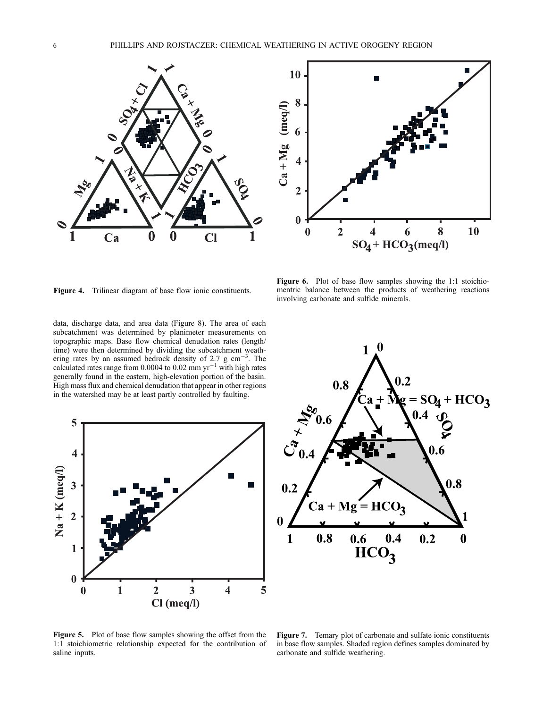



Figure 6. Plot of base flow samples showing the 1:1 stoichiomentric balance between the products of weathering reactions

involving carbonate and sulfide minerals.

Figure 4. Trilinear diagram of base flow ionic constituents.

data, discharge data, and area data (Figure 8). The area of each subcatchment was determined by planimeter measurements on topographic maps. Base flow chemical denudation rates (length/ time) were then determined by dividing the subcatchment weathering rates by an assumed bedrock density of 2.7 g cm<sup>-3</sup>. The calculated rates range from 0.0004 to 0.02 mm  $yr^{-1}$  with high rates generally found in the eastern, high-elevation portion of the basin. High mass flux and chemical denudation that appear in other regions in the watershed may be at least partly controlled by faulting.





Figure 5. Plot of base flow samples showing the offset from the 1:1 stoichiometric relationship expected for the contribution of saline inputs.

Figure 7. Temary plot of carbonate and sulfate ionic constituents in base flow samples. Shaded region defines samples dominated by carbonate and sulfide weathering.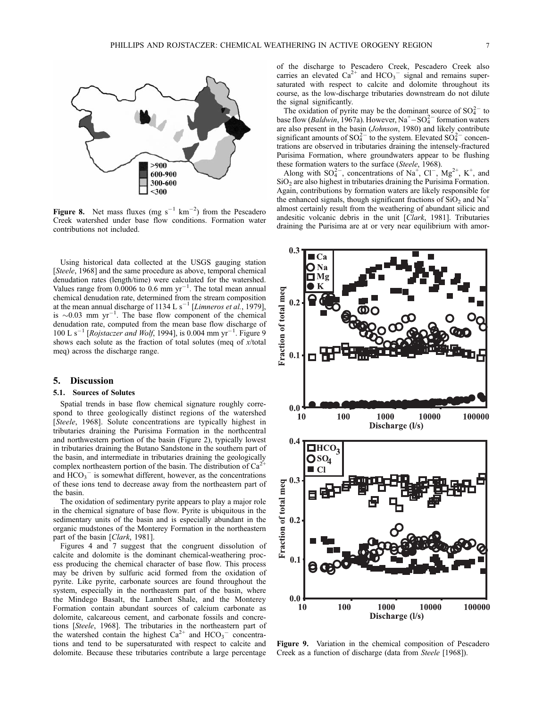

Figure 8. Net mass fluxes (mg  $s^{-1}$  km<sup>-2</sup>) from the Pescadero Creek watershed under base flow conditions. Formation water contributions not included.

Using historical data collected at the USGS gauging station [Steele, 1968] and the same procedure as above, temporal chemical denudation rates (length/time) were calculated for the watershed. Values range from  $0.0006$  to  $0.6$  mm yr<sup>-1</sup>. The total mean annual chemical denudation rate, determined from the stream composition at the mean annual discharge of 1134 L s<sup>-1</sup> [Limneros et al., 1979], is  $\sim 0.03$  mm yr<sup>-1</sup>. The base flow component of the chemical denudation rate, computed from the mean base flow discharge of 100 L s<sup>-1</sup> [Rojstaczer and Wolf, 1994], is 0.004 mm yr<sup>-1</sup>. Figure 9 shows each solute as the fraction of total solutes (meq of x/total meq) across the discharge range.

### 5. Discussion

### 5.1. Sources of Solutes

Spatial trends in base flow chemical signature roughly correspond to three geologically distinct regions of the watershed [Steele, 1968]. Solute concentrations are typically highest in tributaries draining the Purisima Formation in the northcentral and northwestern portion of the basin (Figure 2), typically lowest in tributaries draining the Butano Sandstone in the southern part of the basin, and intermediate in tributaries draining the geologically complex northeastern portion of the basin. The distribution of  $Ca^{2}$ and  $HCO<sub>3</sub><sup>-</sup>$  is somewhat different, however, as the concentrations of these ions tend to decrease away from the northeastern part of the basin.

The oxidation of sedimentary pyrite appears to play a major role in the chemical signature of base flow. Pyrite is ubiquitous in the sedimentary units of the basin and is especially abundant in the organic mudstones of the Monterey Formation in the northeastern part of the basin [Clark, 1981].

Figures 4 and 7 suggest that the congruent dissolution of calcite and dolomite is the dominant chemical-weathering process producing the chemical character of base flow. This process may be driven by sulfuric acid formed from the oxidation of pyrite. Like pyrite, carbonate sources are found throughout the system, especially in the northeastern part of the basin, where the Mindego Basalt, the Lambert Shale, and the Monterey Formation contain abundant sources of calcium carbonate as dolomite, calcareous cement, and carbonate fossils and concretions [Steele, 1968]. The tributaries in the northeastern part of the watershed contain the highest  $Ca^{2+}$  and  $HCO_3^-$  concentrations and tend to be supersaturated with respect to calcite and dolomite. Because these tributaries contribute a large percentage of the discharge to Pescadero Creek, Pescadero Creek also carries an elevated  $Ca^{2+}$  and  $HCO_3^-$  signal and remains supersaturated with respect to calcite and dolomite throughout its course, as the low-discharge tributaries downstream do not dilute the signal significantly.

The oxidation of pyrite may be the dominant source of  $SO_4^{2-}$  to base flow (*Baldwin*, 1967a). However,  $Na^+ - SO_4^2$  formation waters are also present in the basin (Johnson, 1980) and likely contribute significant amounts of  $SO_4^{2-}$  to the system. Elevated  $SO_4^{2-}$  concentrations are observed in tributaries draining the intensely-fractured Purisima Formation, where groundwaters appear to be flushing these formation waters to the surface (Steele, 1968).

Along with  $SO_4^{2-}$ , concentrations of Na<sup>+</sup>, Cl<sup>-</sup>, Mg<sup>2+</sup>, K<sup>+</sup>, and SiO<sub>2</sub> are also highest in tributaries draining the Purisima Formation. Again, contributions by formation waters are likely responsible for the enhanced signals, though significant fractions of  $SiO<sub>2</sub>$  and Na<sup>+</sup> almost certainly result from the weathering of abundant silicic and andesitic volcanic debris in the unit [Clark, 1981]. Tributaries draining the Purisima are at or very near equilibrium with amor-



Figure 9. Variation in the chemical composition of Pescadero Creek as a function of discharge (data from Steele [1968]).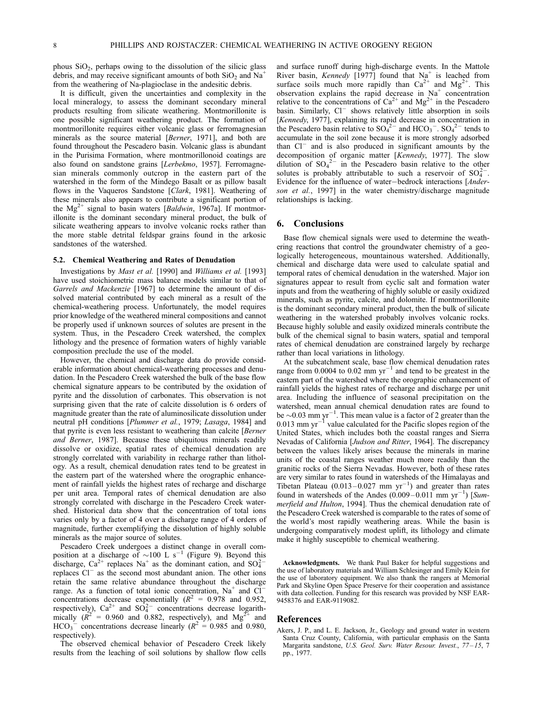phous SiO2, perhaps owing to the dissolution of the silicic glass debris, and may receive significant amounts of both  $SiO<sub>2</sub>$  and Na<sup>+</sup> from the weathering of Na-plagioclase in the andesitic debris.

It is difficult, given the uncertainties and complexity in the local mineralogy, to assess the dominant secondary mineral products resulting from silicate weathering. Montmorillonite is one possible significant weathering product. The formation of montmorillonite requires either volcanic glass or ferromagnesian minerals as the source material [Berner, 1971], and both are found throughout the Pescadero basin. Volcanic glass is abundant in the Purisima Formation, where montmorillonoid coatings are also found on sandstone grains [Lerbekmo, 1957]. Ferromagnesian minerals commonly outcrop in the eastern part of the watershed in the form of the Mindego Basalt or as pillow basalt flows in the Vaqueros Sandstone [Clark, 1981]. Weathering of these minerals also appears to contribute a significant portion of the  $Mg^{2+}$  signal to basin waters [*Baldwin*, 1967a]. If montmorillonite is the dominant secondary mineral product, the bulk of silicate weathering appears to involve volcanic rocks rather than the more stable detrital feldspar grains found in the arkosic sandstones of the watershed.

#### 5.2. Chemical Weathering and Rates of Denudation

Investigations by Mast et al. [1990] and Williams et al. [1993] have used stoichiometric mass balance models similar to that of Garrels and Mackenzie [1967] to determine the amount of dissolved material contributed by each mineral as a result of the chemical-weathering process. Unfortunately, the model requires prior knowledge of the weathered mineral compositions and cannot be properly used if unknown sources of solutes are present in the system. Thus, in the Pescadero Creek watershed, the complex lithology and the presence of formation waters of highly variable composition preclude the use of the model.

However, the chemical and discharge data do provide considerable information about chemical-weathering processes and denudation. In the Pescadero Creek watershed the bulk of the base flow chemical signature appears to be contributed by the oxidation of pyrite and the dissolution of carbonates. This observation is not surprising given that the rate of calcite dissolution is 6 orders of magnitude greater than the rate of aluminosilicate dissolution under neutral pH conditions [Plummer et al., 1979; Lasaga, 1984] and that pyrite is even less resistant to weathering than calcite [Berner and Berner, 1987]. Because these ubiquitous minerals readily dissolve or oxidize, spatial rates of chemical denudation are strongly correlated with variability in recharge rather than lithology. As a result, chemical denudation rates tend to be greatest in the eastern part of the watershed where the orographic enhancement of rainfall yields the highest rates of recharge and discharge per unit area. Temporal rates of chemical denudation are also strongly correlated with discharge in the Pescadero Creek watershed. Historical data show that the concentration of total ions varies only by a factor of 4 over a discharge range of 4 orders of magnitude, further exemplifying the dissolution of highly soluble minerals as the major source of solutes.

Pescadero Creek undergoes a distinct change in overall composition at a discharge of  $\sim 100$  L s<sup>-1</sup> (Figure 9). Beyond this discharge, Ca<sup>2+</sup> replaces Na<sup>+</sup> as the dominant cation, and  $SO_4^{2-}$ replaces  $Cl^-$  as the second most abundant anion. The other ions retain the same relative abundance throughout the discharge range. As a function of total ionic concentration,  $Na<sup>+</sup>$  and Cl<sup>-</sup> concentrations decrease exponentially  $(R^2 = 0.978$  and 0.952, respectively),  $Ca^{2+}$  and  $SO_4^{2-}$  concentrations decrease logarithmically  $(R^2 = 0.960$  and 0.882, respectively), and Mg<sup>2+</sup> and  $HCO_3$ <sup>-</sup> concentrations decrease linearly ( $R^2 = 0.985$  and 0.980, respectively).

The observed chemical behavior of Pescadero Creek likely results from the leaching of soil solutions by shallow flow cells and surface runoff during high-discharge events. In the Mattole River basin, *Kennedy* [1977] found that Na<sup>+</sup> is leached from surface soils much more rapidly than  $Ca^{2+}$  and  $Mg^{2+}$ . This observation explains the rapid decrease in  $Na<sup>+</sup>$  concentration relative to the concentrations of  $Ca^{2+}$  and  $Mg^{2+}$  in the Pescadero basin. Similarly, Cl<sup>-</sup> shows relatively little absorption in soils [Kennedy, 1977], explaining its rapid decrease in concentration in the Pescadero basin relative to  $SO_4^{2-}$  and  $HCO_3^-$ .  $SO_4^{2-}$  tends to accumulate in the soil zone because it is more strongly adsorbed than  $Cl^-$  and is also produced in significant amounts by the decomposition of organic matter [Kennedy, 1977]. The slow dilution of  $SO_4^2$ <sup>-</sup> in the Pescadero basin relative to the other solutes is probably attributable to such a reservoir of  $SO_4^{2-}$ . Evidence for the influence of water-bedrock interactions [Anderson et al., 1997] in the water chemistry/discharge magnitude relationships is lacking.

### 6. Conclusions

Base flow chemical signals were used to determine the weathering reactions that control the groundwater chemistry of a geologically heterogeneous, mountainous watershed. Additionally, chemical and discharge data were used to calculate spatial and temporal rates of chemical denudation in the watershed. Major ion signatures appear to result from cyclic salt and formation water inputs and from the weathering of highly soluble or easily oxidized minerals, such as pyrite, calcite, and dolomite. If montmorillonite is the dominant secondary mineral product, then the bulk of silicate weathering in the watershed probably involves volcanic rocks. Because highly soluble and easily oxidized minerals contribute the bulk of the chemical signal to basin waters, spatial and temporal rates of chemical denudation are constrained largely by recharge rather than local variations in lithology.

At the subcatchment scale, base flow chemical denudation rates range from 0.0004 to 0.02 mm  $yr^{-1}$  and tend to be greatest in the eastern part of the watershed where the orographic enhancement of rainfall yields the highest rates of recharge and discharge per unit area. Including the influence of seasonal precipitation on the watershed, mean annual chemical denudation rates are found to be  $\sim$ 0.03 mm yr<sup>-1</sup>. This mean value is a factor of 2 greater than the  $0.013$  mm yr<sup>-1</sup> value calculated for the Pacific slopes region of the United States, which includes both the coastal ranges and Sierra Nevadas of California [Judson and Ritter, 1964]. The discrepancy between the values likely arises because the minerals in marine units of the coastal ranges weather much more readily than the granitic rocks of the Sierra Nevadas. However, both of these rates are very similar to rates found in watersheds of the Himalayas and Tibetan Plateau  $(0.013 - 0.027$  mm yr<sup>-1</sup>) and greater than rates found in watersheds of the Andes  $(0.009 - 0.011$  mm yr<sup>-1</sup>) [Summerfield and Hulton, 1994]. Thus the chemical denudation rate of the Pescadero Creek watershed is comparable to the rates of some of the world's most rapidly weathering areas. While the basin is undergoing comparatively modest uplift, its lithology and climate make it highly susceptible to chemical weathering.

Acknowledgments. We thank Paul Baker for helpful suggestions and the use of laboratory materials and William Schlesinger and Emily Klein for the use of laboratory equipment. We also thank the rangers at Memorial Park and Skyline Open Space Preserve for their cooperation and assistance with data collection. Funding for this research was provided by NSF EAR-9458376 and EAR-9119082.

### References

Akers, J. P., and L. E. Jackson, Jr., Geology and ground water in western Santa Cruz County, California, with particular emphasis on the Santa Margarita sandstone, U.S. Geol. Surv. Water Resour. Invest., 77-15, 7 pp., 1977.